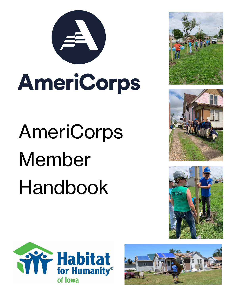

# AmeriCorps

# AmeriCorps Member Handbook









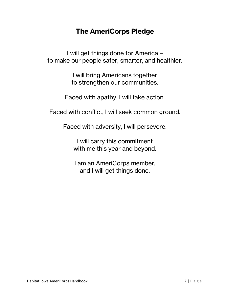## **The AmeriCorps Pledge**

I will get things done for America – to make our people safer, smarter, and healthier.

> I will bring Americans together to strengthen our communities.

Faced with apathy, I will take action.

Faced with conflict, I will seek common ground.

Faced with adversity, I will persevere.

I will carry this commitment with me this year and beyond.

I am an AmeriCorps member, and I will get things done.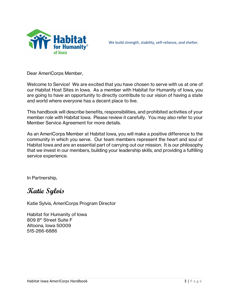

We build strength, stability, self-reliance, *and* shelter.

Dear AmeriCorps Member,

Welcome to Service! We are excited that you have chosen to serve with us at one of our Habitat Host Sites in Iowa. As a member with Habitat for Humanity of Iowa, you are going to have an opportunity to directly contribute to our vision of having a state and world where everyone has a decent place to live.

This handbook will describe benefits, responsibilities, and prohibited activities of your member role with Habitat Iowa. Please review it carefully. You may also refer to your Member Service Agreement for more details.

As an AmeriCorps Member at Habitat Iowa, you will make a positive difference to the community in which you serve. Our team members represent the heart and soul of Habitat Iowa and are an essential part of carrying out our mission. It is our philosophy that we invest in our members, building your leadership skills, and providing a fulfilling service experience.

In Partnership,

## **Katie Sylvis**

Katie Sylvis, AmeriCorps Program Director

Habitat for Humanity of Iowa 809 8th Street Suite F Altoona, Iowa 50009 515-266-6886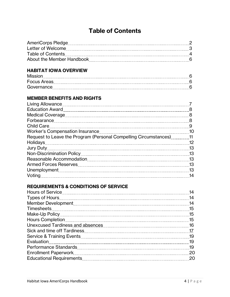## **Table of Contents**

| AmeriCorps Pledge         |  |
|---------------------------|--|
| Letter of Welcome         |  |
| Table of Contents         |  |
| About the Member Handbook |  |

#### **HABITAT IOWA OVERVIEW**

| <b>Focus Areas</b> |  |
|--------------------|--|
| Governance         |  |

#### **MEMBER BENEFITS AND RIGHTS**

| Living Allowance                                                   |    |
|--------------------------------------------------------------------|----|
|                                                                    | 8  |
|                                                                    |    |
|                                                                    | 8  |
|                                                                    |    |
|                                                                    | 10 |
| Request to Leave the Program (Personal Compelling Circumstances)11 |    |
|                                                                    | 12 |
| Jury Duty                                                          | 13 |
|                                                                    | 13 |
|                                                                    | 13 |
|                                                                    | 13 |
|                                                                    | 13 |
| Voting                                                             | 14 |
|                                                                    |    |

#### **REQUIREMENTS & CONDITIONS OF SERVICE**

|                                                                                                                | 14  |
|----------------------------------------------------------------------------------------------------------------|-----|
|                                                                                                                | 14  |
|                                                                                                                | -14 |
|                                                                                                                | 15  |
|                                                                                                                |     |
|                                                                                                                | 15  |
| Unexcused Tardiness and absences [11] Drawing and an all also also continuum and all all all all all all all a | 16  |
|                                                                                                                | 17  |
|                                                                                                                | 19  |
| Evaluation                                                                                                     | 19  |
|                                                                                                                | 19  |
|                                                                                                                | 20  |
|                                                                                                                | 20  |
|                                                                                                                |     |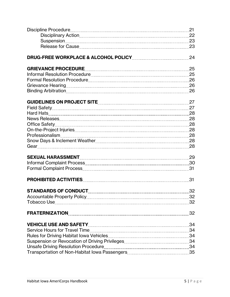|                             | 21 |
|-----------------------------|----|
|                             |    |
|                             |    |
|                             |    |
|                             | 24 |
|                             | 25 |
|                             |    |
|                             |    |
|                             |    |
|                             |    |
|                             | 27 |
|                             |    |
|                             |    |
|                             |    |
|                             |    |
|                             |    |
|                             |    |
|                             |    |
|                             |    |
|                             | 29 |
|                             |    |
|                             |    |
|                             | 31 |
| <b>STANDARDS OF CONDUCT</b> | 32 |
|                             | 32 |
|                             |    |
|                             | 32 |
|                             | 34 |
|                             |    |
|                             |    |
|                             |    |
|                             |    |
|                             |    |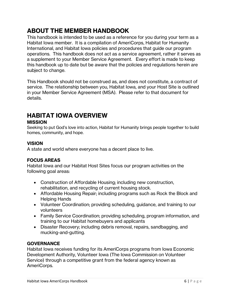## **ABOUT THE MEMBER HANDBOOK**

This handbook is intended to be used as a reference for you during your term as a Habitat Iowa member. It is a compilation of AmeriCorps, Habitat for Humanity International, and Habitat Iowa policies and procedures that guide our program operations. This handbook does not act as a service agreement, rather it serves as a supplement to your Member Service Agreement. Every effort is made to keep this handbook up to date but be aware that the policies and regulations herein are subject to change.

This Handbook should not be construed as, and does not constitute, a contract of service. The relationship between you, Habitat Iowa, and your Host Site is outlined in your Member Service Agreement (MSA). Please refer to that document for details.

## **HABITAT IOWA OVERVIEW**

#### **MISSION**

Seeking to put God's love into action, Habitat for Humanity brings people together to build homes, community, and hope.

#### **VISION**

A state and world where everyone has a decent place to live.

#### **FOCUS AREAS**

Habitat Iowa and our Habitat Host Sites focus our program activities on the following goal areas:

- Construction of Affordable Housing; including new construction, rehabilitation, and recycling of current housing stock.
- Affordable Housing Repair; including programs such as Rock the Block and Helping Hands
- Volunteer Coordination; providing scheduling, guidance, and training to our volunteers
- Family Service Coordination; providing scheduling, program information, and training to our Habitat homebuyers and applicants
- Disaster Recovery; including debris removal, repairs, sandbagging, and mucking-and-gutting.

#### **GOVERNANCE**

Habitat Iowa receives funding for its AmeriCorps programs from Iowa Economic Development Authority, Volunteer Iowa (The Iowa Commission on Volunteer Service) through a competitive grant from the federal agency known as AmeriCorps.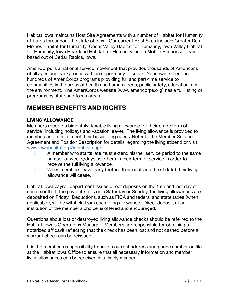Habitat Iowa maintains Host Site Agreements with a number of Habitat for Humanity affiliates throughout the state of Iowa. Our current Host Sites include: Greater Des Moines Habitat for Humanity, Cedar Valley Habitat for Humanity, Iowa Valley Habitat for Humanity, Iowa Heartland Habitat for Humanity, and a Mobile Response Team based out of Cedar Rapids, Iowa.

AmeriCorps is a national service movement that provides thousands of Americans of all ages and background with an opportunity to serve. Nationwide there are hundreds of AmeriCorps programs providing full and part-time service to communities in the areas of health and human needs, public safety, education, and the environment. The AmeriCorps website (www.americorps.org) has a full listing of programs by state and focus areas.

## **MEMBER BENEFITS AND RIGHTS**

#### **LIVING ALLOWANCE**

Members receive a bimonthly, taxable living allowance for their entire term of service (including holidays and vacation leave). The living allowance is provided to members in order to meet their basic living needs. Refer to the Member Service Agreement and Position Description for details regarding the living stipend or visit [www.iowahabitat.org/member-page](http://www.iowahabitat.org/member-page) .

- i. A member who starts late must extend his/her service period to the same number of weeks/days as others in their term of service in order to receive the full living allowance.
- ii. When members leave early (before their contracted exit date) their living allowance will cease.

Habitat Iowa payroll department issues direct deposits on the 15th and last day of each month. If the pay date falls on a Saturday or Sunday, the living allowances are deposited on Friday. Deductions, such as FICA and federal and state taxes (when applicable), will be withheld from each living allowance. Direct deposit, at an institution of the member's choice, is offered and encouraged.

Questions about lost or destroyed living allowance checks should be referred to the Habitat Iowa's Operations Manager. Members are responsible for obtaining a notarized affidavit reflecting that the check has been lost and not cashed before a warrant check can be reissued.

It is the member's responsibility to have a current address and phone number on file at the Habitat Iowa Office to ensure that all necessary information and member living allowances can be received in a timely manner.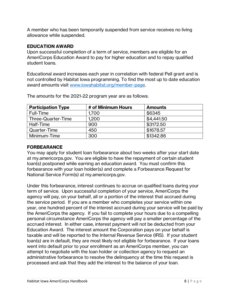A member who has been temporarily suspended from service receives no living allowance while suspended.

#### **EDUCATION AWARD**

Upon successful completion of a term of service, members are eligible for an AmeriCorps Education Award to pay for higher education and to repay qualified student loans.

Educational award increases each year in correlation with federal Pell grant and is not controlled by Habitat Iowa programming. To find the most up to date education award amounts visit [www.iowahabitat.org/member-page.](http://www.iowahabitat.org/member-page)

| <b>Participation Type</b> | # of Minimum Hours | <b>Amounts</b> |
|---------------------------|--------------------|----------------|
| Full-Time                 | 1,700              | \$6345         |
| Three-Quarter-Time        | 1,200              | \$4,441.50     |
| Half-Time                 | 900                | \$3172.50      |
| Quarter-Time              | 450                | \$1678.57      |
| Minimum-Time              | 300                | \$1342.86      |

The amounts for the 2021-22 program year are as follows:

#### **FORBEARANCE**

You may apply for student loan forbearance about two weeks after your start date at my.americorps.gov. You are eligible to have the repayment of certain student loan(s) postponed while earning an education award. You must confirm this forbearance with your loan holder(s) and complete a Forbearance Request for National Service Form(s) at my.americorps.gov.

Under this forbearance, interest continues to accrue on qualified loans during your term of service. Upon successful completion of your service, AmeriCorps the agency will pay, on your behalf, all or a portion of the interest that accrued during the service period. If you are a member who completes your service within one year, one hundred percent of the interest accrued during your service will be paid by the AmeriCorps the agency. If you fail to complete your hours due to a compelling personal circumstance AmeriCorps the agency will pay a smaller percentage of the accrued interest. In either case, interest payment will not be deducted from your Education Award. The interest amount the Corporation pays on your behalf is taxable and will be reported to the Internal Revenue Service (IRS). If your student loan(s) are in default, they are most likely not eligible for forbearance. If your loans went into default prior to your enrollment as an AmeriCorps member, you can attempt to negotiate with the loan holder or collection agency to request an administrative forbearance to resolve the delinquency at the time this request is processed and ask that they add the interest to the balance of your loan.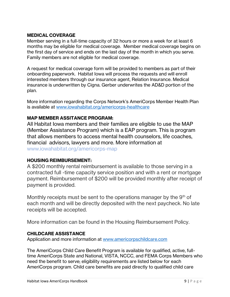#### **MEDICAL COVERAGE**

Member serving in a full-time capacity of 32 hours or more a week for at least 6 months may be eligible for medical coverage. Member medical coverage begins on the first day of service and ends on the last day of the month in which you serve. Family members are not eligible for medical coverage.

A request for medical coverage form will be provided to members as part of their onboarding paperwork. Habitat Iowa will process the requests and will enroll interested members through our insurance agent, Relation Insurance. Medical insurance is underwritten by Cigna. Gerber underwrites the AD&D portion of the plan.

More information regarding the Corps Network's AmeriCorps Member Health Plan is available at [www.iowahabitat.org/americorps-healthcare](http://www.iowahabitat.org/americorps-healthcare)

#### **MAP MEMBER ASSITANCE PROGRAM:**

All Habitat Iowa members and their families are eligible to use the MAP (Member Assistance Program) which is a EAP program. This is program that allows members to access mental health counselors, life coaches, financial advisors, lawyers and more. [More](https://www.iowahabitat.org/americorps-map) information at [www.iowahabitat.org/americorps-map](http://www.iowahabitat.org/americorps-map)

#### **HOUSING REIMBURSEMENT:**

A \$200 monthly rental reimbursement is available to those serving in a contracted full -time capacity service position and with a rent or mortgage payment. Reimbursement of \$200 will be provided monthly after receipt of payment is provided.

Monthly receipts must be sent to the operations manager by the 9<sup>th</sup> of each month and will be directly deposited with the next paycheck. No late receipts will be accepted.

More information can be found in the Housing Reimbursement Policy.

#### **CHILDCARE ASSISTANCE**

Application and more information at [www.americorpschildcare.com](http://www.americorpschildcare.com/)

The AmeriCorps Child Care Benefit Program is available for qualified, active, fulltime AmeriCorps State and National, VISTA, NCCC, and FEMA Corps Members who need the benefit to serve; eligibility requirements are listed below for each AmeriCorps program. Child care benefits are paid directly to qualified child care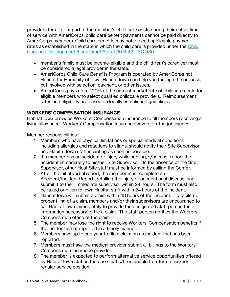providers for all or of part of the member's child care costs during their active time of service with AmeriCorps; child care benefit payments cannot be paid directly to AmeriCorps members. Child care benefits may not exceed applicable payment rates as established in the state in which the child care is provided under the [Child](https://www.americorpschildcare.com/downloads/Child_Care_and_Development_Block_Grant_Act_of_2014.pdf)  [Care and Development Block Grant Act of 2014 42 USC 9801.](https://www.americorpschildcare.com/downloads/Child_Care_and_Development_Block_Grant_Act_of_2014.pdf)

- member's family must be income-eligible and the child(ren)'s caregiver must be considered a legal provider in the state.
- AmeriCorps Child Care Benefits Program is operated by AmeriCorps not Habitat for Humanity of Iowa. Habitat Iowa can help you through the process, but involved with selection, payment, or other issues.
- AmeriCorps pays up to 100% of the current market rate of childcare costs for eligible members who select qualified childcare providers. Reimbursement rates and eligibility are based on locally established guidelines

#### **WORKERS' COMPENSATION INSURANCE**

Habitat Iowa provides Workers' Compensation Insurance to all members receiving a living allowance. Workers' Compensation Insurance covers on-the-job injuries.

Member responsibilities:

- 1. Members who have physical limitations or special medical conditions, including allergies and reactions to stings, should notify their Site Supervisor and Habitat Iowa staff in writing as soon as possible.
- 2. If a member has an accident or injury while serving, s/he must report the accident immediately to his/her Site Supervisor. In the absence of the Site Supervisor, other Host Site staff must be informed by calling the Center.
- 3. After the initial verbal report, the member must complete an Accident/Incident Report, detailing the injury or occupational disease, and submit it to their immediate supervisor within 24 hours. The form must also be faxed or given to Iowa Habitat staff within 24 hours of the incident.
- 4. Habitat Iowa will submit a claim within 48 hours of the incident. To facilitate proper filing of a claim, members and/or their supervisors are encouraged to call Habitat Iowa immediately to provide the designated staff person the information necessary to file a claim. The staff person notifies the Workers' Compensation office of the claim.
- 5. The member may lose the right to receive Workers' Compensation benefits if the incident is not reported in a timely manner.
- 6. Members have up to one year to file a claim on an incident that has been reported.
- 7. Members must have the medical provider submit all billings to the Workers' Compensation Insurance provider.
- 8. The member is expected to perform alternative service opportunities offered by Habitat Iowa staff in the case that s/he is unable to return to his/her regular service position.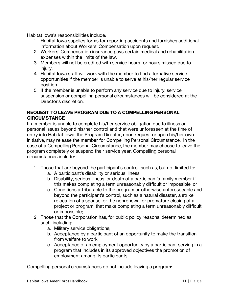Habitat Iowa's responsibilities include:

- 1. Habitat Iowa supplies forms for reporting accidents and furnishes additional information about Workers' Compensation upon request.
- 2. Workers' Compensation insurance pays certain medical and rehabilitation expenses within the limits of the law.
- 3. Members will not be credited with service hours for hours missed due to injury.
- 4. Habitat Iowa staff will work with the member to find alternative service opportunities if the member is unable to serve at his/her regular service position.
- 5. If the member is unable to perform any service due to injury, service suspension or compelling personal circumstances will be considered at the Director's discretion.

#### **REQUEST TO LEAVE PROGRAM DUE TO A COMPELLING PERSONAL CIRCUMSTANCE**

If a member is unable to complete his/her service obligation due to illness or personal issues beyond his/her control and that were unforeseen at the time of entry into Habitat Iowa, the Program Director, upon request or upon his/her own initiative, may release the member for Compelling Personal Circumstance. In the case of a Compelling Personal Circumstance, the member may choose to leave the program completely or suspend their service year. Compelling personal circumstances include:

- 1. Those that are beyond the participant's control, such as, but not limited to:
	- a. A participant's disability or serious illness;
	- b. Disability, serious illness, or death of a participant's family member if this makes completing a term unreasonably difficult or impossible; or
	- c. Conditions attributable to the program or otherwise unforeseeable and beyond the participant's control, such as a natural disaster, a strike, relocation of a spouse, or the nonrenewal or premature closing of a project or program, that make completing a term unreasonably difficult or impossible;
- 2. Those that the Corporation has, for public policy reasons, determined as such, including:
	- a. Military service obligations;
	- b. Acceptance by a participant of an opportunity to make the transition from welfare to work;
	- c. Acceptance of an employment opportunity by a participant serving in a program that includes in its approved objectives the promotion of employment among its participants.

Compelling personal circumstances do not include leaving a program: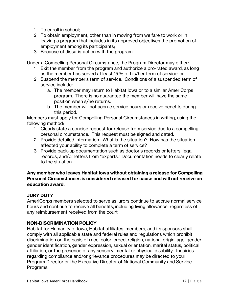- 1. To enroll in school;
- 2. To obtain employment, other than in moving from welfare to work or in leaving a program that includes in its approved objectives the promotion of employment among its participants;
- 3. Because of dissatisfaction with the program.

Under a Compelling Personal Circumstance, the Program Director may either:

- 1. Exit the member from the program and authorize a pro-rated award, as long as the member has served at least 15 % of his/her term of service; or
- 2. Suspend the member's term of service. Conditions of a suspended term of service include:
	- a. The member may return to Habitat Iowa or to a similar AmeriCorps program. There is no guarantee the member will have the same position when s/he returns.
	- b. The member will not accrue service hours or receive benefits during this period.

Members must apply for Compelling Personal Circumstances in writing, using the following method:

- 1. Clearly state a concise request for release from service due to a compelling personal circumstance. This request must be signed and dated.
- 2. Provide detailed information. What is the situation? How has the situation affected your ability to complete a term of service?
- 3. Provide back-up documentation such as doctor's records or letters, legal records, and/or letters from "experts." Documentation needs to clearly relate to the situation.

#### **Any member who leaves Habitat Iowa without obtaining a release for Compelling Personal Circumstances is considered released for cause and will not receive an education award.**

#### **JURY DUTY**

AmeriCorps members selected to serve as jurors continue to accrue normal service hours and continue to receive all benefits, including living allowance, regardless of any reimbursement received from the court.

#### **NON-DISCRIMINATION POLICY**

Habitat for Humanity of Iowa, Habitat affiliates, members, and its sponsors shall comply with all applicable state and federal rules and regulations which prohibit discrimination on the basis of race, color, creed, religion, national origin, age, gender, gender identification, gender expression, sexual orientation, marital status, political affiliation, or the presence of any sensory, mental or physical disability. Inquiries regarding compliance and/or grievance procedures may be directed to your Program Director or the Executive Director of National Community and Service Programs.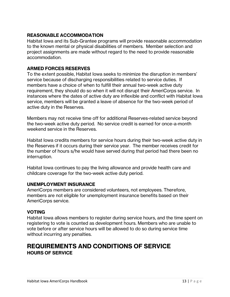#### **REASONABLE ACCOMMODATION**

Habitat Iowa and its Sub-Grantee programs will provide reasonable accommodation to the known mental or physical disabilities of members. Member selection and project assignments are made without regard to the need to provide reasonable accommodation.

#### **ARMED FORCES RESERVES**

To the extent possible, Habitat Iowa seeks to minimize the disruption in members' service because of discharging responsibilities related to service duties. If members have a choice of when to fulfill their annual two-week active duty requirement, they should do so when it will not disrupt their AmeriCorps service. In instances where the dates of active duty are inflexible and conflict with Habitat Iowa service, members will be granted a leave of absence for the two-week period of active duty in the Reserves.

Members may not receive time off for additional Reserves-related service beyond the two-week active duty period. No service credit is earned for once-a-month weekend service in the Reserves.

Habitat Iowa credits members for service hours during their two-week active duty in the Reserves if it occurs during their service year. The member receives credit for the number of hours s/he would have served during that period had there been no interruption.

Habitat Iowa continues to pay the living allowance and provide health care and childcare coverage for the two-week active duty period.

#### **UNEMPLOYMENT INSURANCE**

AmeriCorps members are considered volunteers, not employees. Therefore, members are not eligible for unemployment insurance benefits based on their AmeriCorps service.

#### **VOTING**

Habitat Iowa allows members to register during service hours, and the time spent on registering to vote is counted as development hours. Members who are unable to vote before or after service hours will be allowed to do so during service time without incurring any penalties.

### **REQUIREMENTS AND CONDITIONS OF SERVICE HOURS OF SERVICE**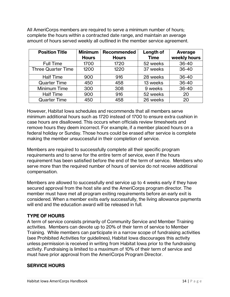All AmeriCorps members are required to serve a minimum number of hours; complete the hours within a contracted date range, and maintain an average amount of hours served weekly all outlined in the member service agreement.

| <b>Position Title</b>     | <b>Minimum</b> | Recommended  | Length of   | Average      |
|---------------------------|----------------|--------------|-------------|--------------|
|                           | <b>Hours</b>   | <b>Hours</b> | <b>Time</b> | weekly hours |
| <b>Full Time</b>          | 1700           | 1720         | 52 weeks    | $36 - 40$    |
| <b>Three Quarter Time</b> | 1200           | 1220         | 37 weeks    | $36 - 40$    |
| <b>Half Time</b>          | 900            | 916          | 28 weeks    | $36 - 40$    |
| <b>Quarter Time</b>       | 450            | 458          | 13 weeks    | $36 - 40$    |
| Minimum Time              | 300            | 308          | 9 weeks     | $36 - 40$    |
| <b>Half Time</b>          | 900            | 916          | 52 weeks    | 20           |
| <b>Quarter Time</b>       | 450            | 458          | 26 weeks    | 20           |

However, Habitat Iowa schedules and recommends that all members serve minimum additional hours such as 1720 instead of 1700 to ensure extra cushion in case hours are disallowed. This occurs when officials review timesheets and remove hours they deem incorrect. For example, if a member placed hours on a federal holiday or Sunday. Those hours could be erased after service is complete making the member unsuccessful in their completion of service.

Members are required to successfully complete all their specific program requirements and to serve for the entire term of service, even if the hours requirement has been satisfied before the end of the term of service. Members who serve more than the required number of hours of service do not receive additional compensation.

Members are allowed to successfully end service up to 4 weeks early if they have secured approval from the host site and the AmeriCorps program director. The member must have met all program exiting requirements before an early exit is considered. When a member exits early successfully, the living allowance payments will end and the education award will be released in full.

#### **TYPE OF HOURS**

A term of service consists primarily of Community Service and Member Training activities. Members can devote up to 20% of their term of service to Member Training. While members can participate in a narrow scope of fundraising activities (see Prohibited Activities for guidelines), Habitat Iowa discourages this activity unless permission is received in writing from Habitat Iowa prior to the fundraising activity. Fundraising is limited to a maximum of 10% of their term of service and must have prior approval from the AmeriCorps Program Director.

#### **SERVICE HOURS**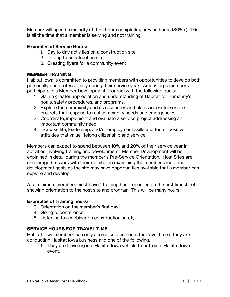Member will spend a majority of their hours completing service hours (80%+). This is all the time that a member is serving and not training.

#### **Examples of Service Hours:**

- 1. Day to day activities on a construction site
- 2. Driving to construction site
- 3. Creating flyers for a community event

#### **MEMBER TRAINING**

Habitat Iowa is committed to providing members with opportunities to develop both personally and professionally during their service year. AmeriCorps members participate in a Member Development Program with the following goals:

- 1. Gain a greater appreciation and understanding of Habitat for Humanity's goals, safety procedures, and programs.
- 2. Explore the community and its resources and plan successful service projects that respond to real community needs and emergencies.
- 3. Coordinate, implement and evaluate a service project addressing an important community need.
- 4. Increase life, leadership, and/or employment skills and foster positive attitudes that value lifelong citizenship and service.

Members can expect to spend between 10% and 20% of their service year in activities involving training and development. Member Development will be explained in detail during the member's Pre-Service Orientation. Host Sites are encouraged to work with their member in examining the member's individual development goals as the site may have opportunities available that a member can explore and develop.

At a minimum members must have 1 training hour recorded on the first timesheet showing orientation to the host site and program. This will be many hours.

#### **Examples of Training hours**:

- 3. Orientation on the member's first day
- 4. Going to conference
- 5. Listening to a webinar on construction safety.

#### **SERVICE HOURS FOR TRAVEL TIME**

Habitat Iowa members can only accrue service hours for travel time if they are conducting Habitat Iowa business and one of the following:

1. They are traveling in a Habitat Iowa vehicle to or from a Habitat Iowa event.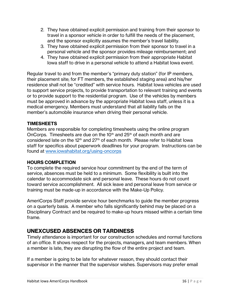- 2. They have obtained explicit permission and training from their sponsor to travel in a sponsor vehicle in order to fulfill the needs of the placement, and the sponsor explicitly assumes the member's travel liability.
- 3. They have obtained explicit permission from their sponsor to travel in a personal vehicle and the sponsor provides mileage reimbursement; and
- 4. They have obtained explicit permission from their appropriate Habitat Iowa staff to drive in a personal vehicle to attend a Habitat Iowa event.

Regular travel to and from the member's "primary duty station" (for IP members, their placement site; for FT members, the established staging area) and his/her residence shall not be "credited" with service hours. Habitat Iowa vehicles are used to support service projects, to provide transportation to relevant training and events or to provide support to the residential program. Use of the vehicles by members must be approved in advance by the appropriate Habitat Iowa staff, unless it is a medical emergency. Members must understand that all liability falls on the member's automobile insurance when driving their personal vehicle.

#### **TIMESHEETS**

Members are responsible for completing timesheets using the online program OnCorps. Timesheets are due on the 10<sup>th</sup> and  $25<sup>th</sup>$  of each month and are considered late on the 12th and 27th of each month. Please refer to Habitat Iowa staff for specifics about paperwork deadlines for your program. Instructions can be found at [www.iowahabitat.org/using-oncorps](http://www.iowahabitat.org/using-oncorps)

#### **HOURS COMPLETION**

To complete the required service hour commitment by the end of the term of service, absences must be held to a minimum. Some flexibility is built into the calendar to accommodate sick and personal leave. These hours do not count toward service accomplishment. All sick leave and personal leave from service or training must be made-up in accordance with the Make-Up Policy.

AmeriCorps Staff provide service hour benchmarks to guide the member progress on a quarterly basis. A member who falls significantly behind may be placed on a Disciplinary Contract and be required to make-up hours missed within a certain time frame.

#### **UNEXCUSED ABSENCES OR TARDINESS**

Timely attendance is important for our construction schedules and normal functions of an office. It shows respect for the projects, managers, and team members. When a member is late, they are disrupting the flow of the entire project and team.

If a member is going to be late for whatever reason, they should contact their supervisor in the manner that the supervisor wishes. Supervisors may prefer email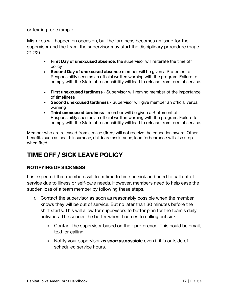or texting for example.

Mistakes will happen on occasion, but the tardiness becomes an issue for the supervisor and the team, the supervisor may start the disciplinary procedure (page 21-22).

- **First Day of unexcused absence**, the supervisor will reiterate the time off policy
- **Second Day of unexcused absence** member will be given a Statement of Responsibility seen as an official written warning with the program. Failure to comply with the State of responsibility will lead to release from term of service.
- **First unexcused tardiness** Supervisor will remind member of the importance of timeliness
- **Second unexcused tardiness** Supervisor will give member an official verbal warning
- **Third unexcused tardiness** member will be given a Statement of Responsibility seen as an official written warning with the program. Failure to comply with the State of responsibility will lead to release from term of service.

Member who are released from service (fired) will not receive the education award. Other benefits such as health insurance, childcare assistance, loan forbearance will also stop when fired.

## **TIME OFF / SICK LEAVE POLICY**

#### **NOTIFYING OF SICKNESS**

It is expected that members will from time to time be sick and need to call out of service due to illness or self-care needs. However, members need to help ease the sudden loss of a team member by following these steps:

- 1. Contact the supervisor as soon as reasonably possible when the member knows they will be out of service. But no later than 30 minutes before the shift starts. This will allow for supervisors to better plan for the team's daily activities. The sooner the better when it comes to calling out sick.
	- Contact the supervisor based on their preference. This could be email, text, or calling.
	- Notify your supervisor *as soon as possible* even if it is outside of scheduled service hours.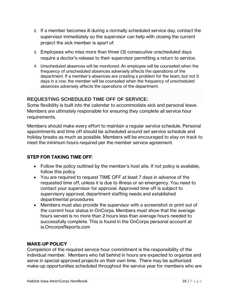- 2. If a member becomes ill during a normally scheduled service day, contact the supervisor immediately so the supervisor can help with closing the current project the sick member is apart of.
- 3. Employees who miss more than three (3) consecutive unscheduled days require a doctor's release to their supervisor permitting a return to service.
- 4. Unscheduled absences will be monitored. An employee will be counseled when the frequency of unscheduled absences adversely affects the operations of the department. If a member's absences are creating a problem for the team, but not 3 days in a row, the member will be counseled when the frequency of unscheduled absences adversely affects the operations of the department.

#### **REQUESTING SCHEDULED TIME OFF OF SERVICE:**

Some flexibility is built into the calendar to accommodate sick and personal leave. Members are ultimately responsible for ensuring they complete all service hour requirements.

Members should make every effort to maintain a regular service schedule. Personal appointments and time off should be scheduled around set service schedule and holiday breaks as much as possible. Members will be encouraged to stay on track to meet the minimum hours required per the member service agreement.

#### **STEP FOR TAKING TIME OFF**:

- Follow the policy outlined by the member's host site. If not policy is available, follow this policy
- You are required to request TIME OFF at least 7 days in advance of the requested time off, unless it is due to illness or an emergency. You need to contact your supervisor for approval. Approved time off is subject to supervisory approval, department staffing needs and established departmental procedures
- Members must also provide the supervisor with a screenshot or print out of the current hour status in OnCorps. Members must show that the average hours served is no more than 2 hours less than average hours needed to successfully complete. This is found in the OnCorps personal account at ia.OncorpsReports.com

#### **MAKE-UP POLICY**

Completion of the required service hour commitment is the responsibility of the individual member. Members who fall behind in hours are expected to organize and serve in special approved projects on their own time. There may be authorized make-up opportunities scheduled throughout the service year for members who are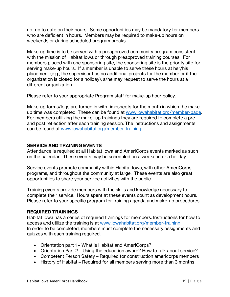not up to date on their hours. Some opportunities may be mandatory for members who are deficient in hours. Members may be required to make-up hours on weekends or during scheduled program breaks.

Make-up time is to be served with a preapproved community program consistent with the mission of Habitat Iowa or through preapproved training courses. For members placed with one sponsoring site, the sponsoring site is the priority site for serving make-up hours. If a member is unable to serve these hours at her/his placement (e.g., the supervisor has no additional projects for the member or if the organization is closed for a holiday), s/he may request to serve the hours at a different organization.

Please refer to your appropriate Program staff for make-up hour policy.

Make-up forms/logs are turned in with timesheets for the month in which the makeup time was completed. These can be found at [www.iowahabitat.org/member-page.](http://www.iowahabitat.org/member-page) For members utilizing the make -up trainings they are required to complete a pre and post reflection after each training session. The instructions and assignments can be found at [www.iowahabitat.org/member-training](http://www.iowahabitat.org/member-training)

#### **SERVICE AND TRAINING EVENTS**

Attendance is required at all Habitat Iowa and AmeriCorps events marked as such on the calendar. These events may be scheduled on a weekend or a holiday.

Service events promote community within Habitat Iowa, with other AmeriCorps programs, and throughout the community at large. These events are also great opportunities to share your service activities with the public.

Training events provide members with the skills and knowledge necessary to complete their service. Hours spent at these events count as development hours. Please refer to your specific program for training agenda and make-up procedures.

#### **REQUIRED TRAININGS**

Habitat Iowa has a series of required trainings for members. Instructions for how to access and utilize the training is at [www.iowahabitat.org/member-training](http://www.iowahabitat.org/member-training) In order to be completed, members must complete the necessary assignments and quizzes with each training required.

- Orientation part 1 What is Habitat and AmeriCorps?
- Orientation Part 2 Using the education award? How to talk about service?
- Competent Person Safety Required for construction americorps members
- History of Habitat Required for all members serving more than 3 months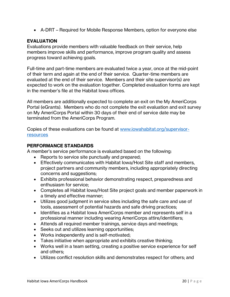• A-DRT – Required for Mobile Response Members, option for everyone else

#### **EVALUATION**

Evaluations provide members with valuable feedback on their service, help members improve skills and performance, improve program quality and assess progress toward achieving goals.

Full-time and part-time members are evaluated twice a year, once at the mid-point of their term and again at the end of their service. Quarter-time members are evaluated at the end of their service. Members and their site supervisor(s) are expected to work on the evaluation together. Completed evaluation forms are kept in the member's file at the Habitat Iowa offices.

All members are additionally expected to complete an exit on the My AmeriCorps Portal (eGrants). Members who do not complete the exit evaluation and exit survey on My AmeriCorps Portal within 30 days of their end of service date may be terminated from the AmeriCorps Program.

Copies of these evaluations can be found at [www.iowahabitat.org/supervisor](http://www.iowahabitat.org/supervisor-resources)**[resources](http://www.iowahabitat.org/supervisor-resources)** 

#### **PERFORMANCE STANDARDS**

A member's service performance is evaluated based on the following:

- Reports to service site punctually and prepared;
- Effectively communicates with Habitat Iowa/Host Site staff and members, project partners and community members, including appropriately directing concerns and suggestions;
- Exhibits professional behavior demonstrating respect, preparedness and enthusiasm for service;
- Completes all Habitat Iowa/Host Site project goals and member paperwork in a timely and effective manner;
- Utilizes good judgment in service sites including the safe care and use of tools, assessment of potential hazards and safe driving practices;
- Identifies as a Habitat Iowa AmeriCorps member and represents self in a professional manner including wearing AmeriCorps attire/identifiers;
- Attends all required member trainings, service days and meetings;
- Seeks out and utilizes learning opportunities;
- Works independently and is self-motivated;
- Takes initiative when appropriate and exhibits creative thinking;
- Works well in a team setting, creating a positive service experience for self and others;
- Utilizes conflict resolution skills and demonstrates respect for others; and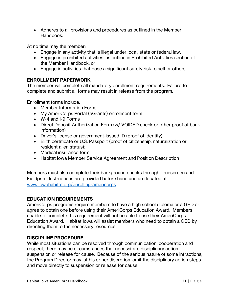• Adheres to all provisions and procedures as outlined in the Member Handbook.

At no time may the member:

- Engage in any activity that is illegal under local, state or federal law;
- Engage in prohibited activities, as outline in Prohibited Activities section of the Member Handbook; or
- Engage in activities that pose a significant safety risk to self or others.

#### **ENROLLMENT PAPERWORK**

The member will complete all mandatory enrollment requirements. Failure to complete and submit all forms may result in release from the program.

Enrollment forms include:

- Member Information Form,
- My AmeriCorps Portal (eGrants) enrollment form
- W-4 and I-9 Forms
- Direct Deposit Authorization Form (w/ VOIDED check or other proof of bank information)
- Driver's license or government-issued ID (proof of identity)
- Birth certificate or U.S. Passport (proof of citizenship, naturalization or resident alien status);
- Medical insurance form
- Habitat Iowa Member Service Agreement and Position Description

Members must also complete their background checks through Truescreen and Fieldprint. Instructions are provided before hand and are located at [www.iowahabitat.org/enrolling-americorps](http://www.iowahabitat.org/enrolling-americorps)

#### **EDUCATION REQUIREMENTS**

AmeriCorps programs require members to have a high school diploma or a GED or agree to obtain one before using their AmeriCorps Education Award. Members unable to complete this requirement will not be able to use their AmeriCorps Education Award. Habitat Iowa will assist members who need to obtain a GED by directing them to the necessary resources.

#### **DISCIPLINE PROCEDURE**

While most situations can be resolved through communication, cooperation and respect, there may be circumstances that necessitate disciplinary action, suspension or release for cause. Because of the serious nature of some infractions, the Program Director may, at his or her discretion, omit the disciplinary action steps and move directly to suspension or release for cause.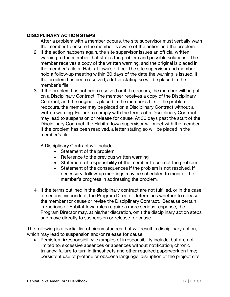#### **DISCIPLINARY ACTION STEPS**

- 1. After a problem with a member occurs, the site supervisor must verbally warn the member to ensure the member is aware of the action and the problem.
- 2. If the action happens again, the site supervisor issues an official written warning to the member that states the problem and possible solutions. The member receives a copy of the written warning, and the original is placed in the member's file at Habitat Iowa's office. The site supervisor and member hold a follow-up meeting within 30 days of the date the warning is issued. If the problem has been resolved, a letter stating so will be placed in the member's file.
- 3. If the problem has not been resolved or if it reoccurs, the member will be put on a Disciplinary Contract. The member receives a copy of the Disciplinary Contract, and the original is placed in the member's file. If the problem reoccurs, the member may be placed on a Disciplinary Contract without a written warning. Failure to comply with the terms of a Disciplinary Contract may lead to suspension or release for cause. At 30 days past the start of the Disciplinary Contract, the Habitat Iowa supervisor will meet with the member. If the problem has been resolved, a letter stating so will be placed in the member's file.

A Disciplinary Contract will include:

- Statement of the problem
- Reference to the previous written warning
- Statement of responsibility of the member to correct the problem
- Statement of the consequences if the problem is not resolved. If necessary, follow-up meetings may be scheduled to monitor the member's progress in addressing the problem.
- 4. If the terms outlined in the disciplinary contract are not fulfilled, or in the case of serious misconduct, the Program Director determines whether to release the member for cause or revise the Disciplinary Contract. Because certain infractions of Habitat Iowa rules require a more serious response, the Program Director may, at his/her discretion, omit the disciplinary action steps and move directly to suspension or release for cause.

The following is a partial list of circumstances that will result in disciplinary action, which may lead to suspension and/or release for cause:

• Persistent irresponsibility; examples of irresponsibility include, but are not limited to: excessive absences or absences without notification; chronic truancy; failure to turn in timesheets and other required paperwork on time; persistent use of profane or obscene language; disruption of the project site;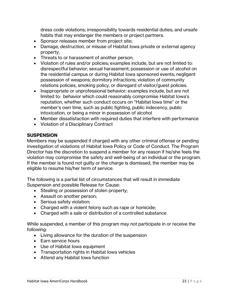dress code violations; irresponsibility towards residential duties; and unsafe habits that may endanger the members or project partners.

- Sponsor releases member from project site;
- Damage, destruction, or misuse of Habitat Iowa private or external agency property;
- Threats to or harassment of another person;
- Violation of rules and/or policies; examples include, but are not limited to: disrespectful behavior; sexual harassment; possession or use of alcohol on the residential campus or during Habitat Iowa sponsored events; negligent possession of weapons; dormitory infractions; violation of community relations policies, smoking policy, or disregard of visitor/guest policies.
- Inappropriate or unprofessional behavior; examples include, but are not limited to: behavior which could reasonably compromise Habitat Iowa's reputation, whether such conduct occurs on "Habitat Iowa time" or the member's own time, such as public fighting, public indecency, public intoxication, or being a minor in possession of alcohol
- Member dissatisfaction with required duties that interfere with performance
- Violation of a Disciplinary Contract

#### **SUSPENSION**

Members may be suspended if charged with any other criminal offense or pending investigation of violations of Habitat Iowa Policy or Code of Conduct. The Program Director has the discretion to suspend a member for any reason if he/she feels the violation may compromise the safety and well-being of an individual or the program. If the member is found not guilty or the charge is dismissed, the member may be eligible to resume his/her term of service.

The following is a partial list of circumstances that will result in immediate Suspension and possible Release for Cause:

- Stealing or possession of stolen property;
- Assault on another person;
- Serious safety violation;
- Charged with a violent felony such as rape or homicide;
- Charged with a sale or distribution of a controlled substance

While suspended, a member of this program may not participate in or receive the following:

- Living allowance for the duration of the suspension
- Earn service hours
- Use of Habitat Iowa equipment
- Transportation rights in Habitat Iowa vehicles
- Attend any Habitat Iowa function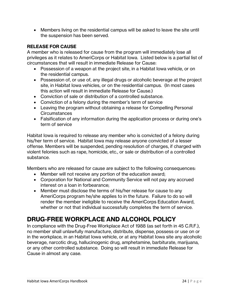• Members living on the residential campus will be asked to leave the site until the suspension has been served.

#### **RELEASE FOR CAUSE**

A member who is released for cause from the program will immediately lose all privileges as it relates to AmeriCorps or Habitat Iowa. Listed below is a partial list of circumstances that will result in immediate Release for Cause:

- Possession of a weapon at the project site, in a Habitat Iowa vehicle, or on the residential campus.
- Possession of, or use of, any illegal drugs or alcoholic beverage at the project site, in Habitat Iowa vehicles, or on the residential campus. (In most cases this action will result in immediate Release for Cause.)
- Conviction of sale or distribution of a controlled substance.
- Conviction of a felony during the member's term of service
- Leaving the program without obtaining a release for Compelling Personal **Circumstances**
- Falsification of any information during the application process or during one's term of service

Habitat Iowa is required to release any member who is convicted of a felony during his/her term of service. Habitat Iowa may release anyone convicted of a lesser offense. Members will be suspended, pending resolution of charges, if charged with violent felonies such as rape, homicide, etc., or sale or distribution of a controlled substance.

Members who are released for cause are subject to the following consequences:

- Member will not receive any portion of the education award;
- Corporation for National and Community Service will not pay any accrued interest on a loan in forbearance;
- Member must disclose the terms of his/her release for cause to any AmeriCorps program he/she applies to in the future. Failure to do so will render the member ineligible to receive the AmeriCorps Education Award, whether or not that individual successfully completes the term of service.

## **DRUG-FREE WORKPLACE AND ALCOHOL POLICY**

In compliance with the Drug-Free Workplace Act of 1988 (as set forth in 45 C.R.F.), no member shall unlawfully manufacture, distribute, dispense, possess or use on or in the workplace, in an Habitat Iowa vehicle, or at any Habitat Iowa site any alcoholic beverage, narcotic drug, hallucinogenic drug, amphetamine, barbiturate, marijuana, or any other controlled substance. Doing so will result in immediate Release for Cause in almost any case.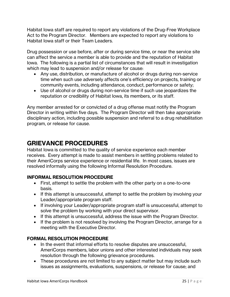Habitat Iowa staff are required to report any violations of the Drug-Free Workplace Act to the Program Director. Members are expected to report any violations to Habitat Iowa staff or their Team Leaders.

Drug possession or use before, after or during service time, or near the service site can affect the service a member is able to provide and the reputation of Habitat Iowa. The following is a partial list of circumstances that will result in investigation which may lead to suspension and/or release for cause:

- Any use, distribution, or manufacture of alcohol or drugs during non-service time when such use adversely affects one's efficiency on projects, training or community events, including attendance, conduct, performance or safety;
- Use of alcohol or drugs during non-service time if such use jeopardizes the reputation or credibility of Habitat Iowa, its members, or its staff.

Any member arrested for or convicted of a drug offense must notify the Program Director in writing within five days. The Program Director will then take appropriate disciplinary action, including possible suspension and referral to a drug rehabilitation program, or release for cause.

## **GRIEVANCE PROCEDURES**

Habitat Iowa is committed to the quality of service experience each member receives. Every attempt is made to assist members in settling problems related to their AmeriCorps service experience or residential life. In most cases, issues are resolved informally using the following Informal Resolution Procedure.

#### **INFORMAL RESOLUTION PROCEDURE**

- First, attempt to settle the problem with the other party on a one-to-one basis.
- If this attempt is unsuccessful, attempt to settle the problem by involving your Leader/appropriate program staff.
- If involving your Leader/appropriate program staff is unsuccessful, attempt to solve the problem by working with your direct supervisor.
- If this attempt is unsuccessful, address the issue with the Program Director.
- If the problem is not resolved by involving the Program Director, arrange for a meeting with the Executive Director.

#### **FORMAL RESOLUTION PROCEDURE**

- In the event that informal efforts to resolve disputes are unsuccessful, AmeriCorps members, labor unions and other interested individuals may seek resolution through the following grievance procedures.
- These procedures are not limited to any subject matter but may include such issues as assignments, evaluations, suspensions, or release for cause; and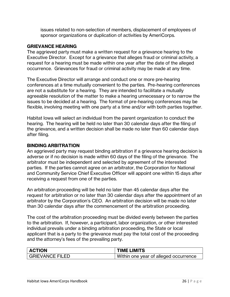issues related to non-selection of members, displacement of employees of sponsor organizations or duplication of activities by AmeriCorps.

#### **GRIEVANCE HEARING**

The aggrieved party must make a written request for a grievance hearing to the Executive Director. Except for a grievance that alleges fraud or criminal activity, a request for a hearing must be made within one year after the date of the alleged occurrence. Grievances for fraud or criminal activity may be made at any time.

The Executive Director will arrange and conduct one or more pre-hearing conferences at a time mutually convenient to the parties. Pre-hearing conferences are not a substitute for a hearing. They are intended to facilitate a mutually agreeable resolution of the matter to make a hearing unnecessary or to narrow the issues to be decided at a hearing. The format of pre-hearing conferences may be flexible, involving meeting with one party at a time and/or with both parties together.

Habitat Iowa will select an individual from the parent organization to conduct the hearing. The hearing will be held no later than 30 calendar days after the filing of the grievance, and a written decision shall be made no later than 60 calendar days after filing.

#### **BINDING ARBITRATION**

An aggrieved party may request binding arbitration if a grievance hearing decision is adverse or if no decision is made within 60 days of the filing of the grievance. The arbitrator must be independent and selected by agreement of the interested parties. If the parties cannot agree on an arbitrator, the Corporation for National and Community Service Chief Executive Officer will appoint one within 15 days after receiving a request from one of the parties.

An arbitration proceeding will be held no later than 45 calendar days after the request for arbitration or no later than 30 calendar days after the appointment of an arbitrator by the Corporation's CEO. An arbitration decision will be made no later than 30 calendar days after the commencement of the arbitration proceeding.

The cost of the arbitration proceeding must be divided evenly between the parties to the arbitration. If, however, a participant, labor organization, or other interested individual prevails under a binding arbitration proceeding, the State or local applicant that is a party to the grievance must pay the total cost of the proceeding and the attorney's fees of the prevailing party.

| <b>ACTION</b>          | <b>TIME LIMITS</b>                    |
|------------------------|---------------------------------------|
| <b>GRIEVANCE FILED</b> | Within one year of alleged occurrence |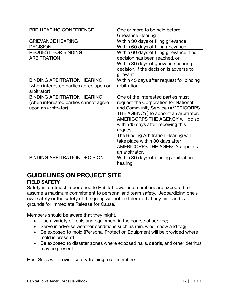| PRE-HEARING CONFERENCE                 | One or more to be held before            |
|----------------------------------------|------------------------------------------|
|                                        | Grievance Hearing                        |
| <b>GRIEVANCE HEARING</b>               | Within 30 days of filing grievance       |
| <b>DECISION</b>                        | Within 60 days of filing grievance       |
| <b>REQUEST FOR BINDING</b>             | Within 60 days of filing grievance if no |
| <b>ARBITRATION</b>                     | decision has been reached; or            |
|                                        | Within 30 days of grievance hearing      |
|                                        | decision, if the decision is adverse to  |
|                                        | grievant                                 |
| <b>BINDING ARBITRATION HEARING</b>     | Within 45 days after request for binding |
| (when interested parties agree upon on | arbitration                              |
| arbitrator)                            |                                          |
| <b>BINDING ARBITRATION HEARING</b>     | One of the interested parties must       |
| (when interested parties cannot agree  | request the Corporation for National     |
| upon an arbitrator)                    | and Community Service (AMERICORPS        |
|                                        | THE AGENCY) to appoint an arbitrator.    |
|                                        | AMERICORPS THE AGENCY will do so         |
|                                        | within 15 days after receiving this      |
|                                        | request.                                 |
|                                        | The Binding Arbitration Hearing will     |
|                                        | take place within 30 days after          |
|                                        | <b>AMERICORPS THE AGENCY appoints</b>    |
|                                        | an arbitrator.                           |
| <b>BINDING ARBITRATION DECISION</b>    | Within 30 days of binding arbitration    |
|                                        | hearing                                  |

## **GUIDELINES ON PROJECT SITE**

#### **FIELD SAFETY**

Safety is of utmost importance to Habitat Iowa, and members are expected to assume a maximum commitment to personal and team safety. Jeopardizing one's own safety or the safety of the group will not be tolerated at any time and is grounds for immediate Release for Cause.

Members should be aware that they might:

- Use a variety of tools and equipment in the course of service;
- Serve in adverse weather conditions such as rain, wind, snow and fog;
- Be exposed to mold (Personal Protection Equipment will be provided where mold is present)
- Be exposed to disaster zones where exposed nails, debris, and other detritus may be present

Host Sites will provide safety training to all members.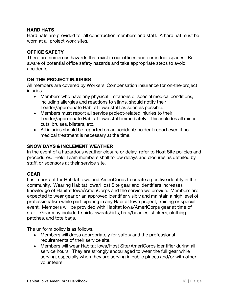#### **HARD HATS**

Hard hats are provided for all construction members and staff. A hard hat must be worn at all project work sites.

#### **OFFICE SAFETY**

There are numerous hazards that exist in our offices and our indoor spaces. Be aware of potential office safety hazards and take appropriate steps to avoid accidents.

#### **ON-THE-PROJECT INJURIES**

All members are covered by Workers' Compensation insurance for on-the-project injuries.

- Members who have any physical limitations or special medical conditions, including allergies and reactions to stings, should notify their Leader/appropriate Habitat Iowa staff as soon as possible.
- Members must report all service project-related injuries to their Leader/appropriate Habitat Iowa staff immediately. This includes all minor cuts, bruises, blisters, etc.
- All injuries should be reported on an accident/incident report even if no medical treatment is necessary at the time.

#### **SNOW DAYS & INCLEMENT WEATHER**

In the event of a hazardous weather closure or delay, refer to Host Site policies and procedures. Field Team members shall follow delays and closures as detailed by staff, or sponsors at their service site.

#### **GEAR**

It is important for Habitat Iowa and AmeriCorps to create a positive identity in the community. Wearing Habitat Iowa/Host Site gear and identifiers increases knowledge of Habitat Iowa/AmeriCorps and the service we provide. Members are expected to wear gear or an approved identifier visibly and maintain a high level of professionalism while participating in any Habitat Iowa project, training or special event. Members will be provided with Habitat Iowa/AmeriCorps gear at time of start. Gear may include t-shirts, sweatshirts, hats/beanies, stickers, clothing patches, and tote bags.

The uniform policy is as follows:

- Members will dress appropriately for safety and the professional requirements of their service site.
- Members will wear Habitat Iowa/Host Site/AmeriCorps identifier during all service hours. They are strongly encouraged to wear the full gear while serving, especially when they are serving in public places and/or with other volunteers.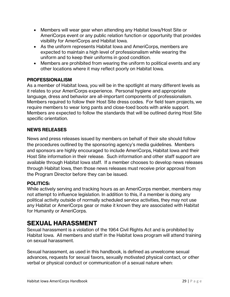- Members will wear gear when attending any Habitat Iowa/Host Site or AmeriCorps event or any public relation function or opportunity that provides visibility for AmeriCorps and Habitat Iowa.
- As the uniform represents Habitat Iowa and AmeriCorps, members are expected to maintain a high level of professionalism while wearing the uniform and to keep their uniforms in good condition.
- Members are prohibited from wearing the uniform to political events and any other locations where it may reflect poorly on Habitat Iowa.

#### **PROFESSIONALISM**

As a member of Habitat Iowa, you will be in the spotlight at many different levels as it relates to your AmeriCorps experience. Personal hygiene and appropriate language, dress and behavior are all-important components of professionalism. Members required to follow their Host Site dress codes. For field team projects, we require members to wear long pants and close-toed boots with ankle support. Members are expected to follow the standards that will be outlined during Host Site specific orientation.

#### **NEWS RELEASES**

News and press releases issued by members on behalf of their site should follow the procedures outlined by the sponsoring agency's media guidelines. Members and sponsors are highly encouraged to include AmeriCorps, Habitat Iowa and their Host Site information in their release. Such information and other staff support are available through Habitat Iowa staff. If a member chooses to develop news releases through Habitat Iowa, then those news releases must receive prior approval from the Program Director before they can be issued.

#### **POLITICS:**

While actively serving and tracking hours as an AmeriCorps member, members may not attempt to influence legislation. In addition to this, if a member is doing any political activity outside of normally scheduled service activities, they may not use any Habitat or AmeriCorps gear or make it known they are associated with Habitat for Humanity or AmeriCorps.

## **SEXUAL HARASSMENT**

Sexual harassment is a violation of the 1964 Civil Rights Act and is prohibited by Habitat Iowa. All members and staff in the Habitat Iowa program will attend training on sexual harassment.

Sexual harassment, as used in this handbook, is defined as unwelcome sexual advances, requests for sexual favors, sexually motivated physical contact, or other verbal or physical conduct or communication of a sexual nature when: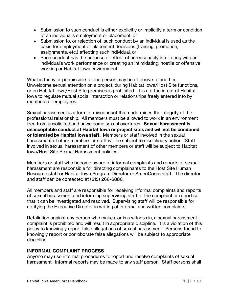- Submission to such conduct is either explicitly or implicitly a term or condition of an individual's employment or placement; or
- Submission to, or rejection of, such conduct by an individual is used as the basis for employment or placement decisions (training, promotion, assignments, etc.) affecting such individual; or
- Such conduct has the purpose or effect of unreasonably interfering with an individual's work performance or creating an intimidating, hostile or offensive working or Habitat Iowa environment.

What is funny or permissible to one person may be offensive to another. Unwelcome sexual attention on a project, during Habitat Iowa/Host Site functions, or on Habitat Iowa/Host Site premises is prohibited. It is not the intent of Habitat Iowa to regulate mutual social interaction or relationships freely entered into by members or employees.

Sexual harassment is a form of misconduct that undermines the integrity of the professional relationship. All members must be allowed to work in an environment free from unsolicited and unwelcome sexual overtures. **Sexual harassment is unacceptable conduct at Habitat Iowa or project sites and will not be condoned or tolerated by Habitat Iowa staff.** Members or staff involved in the sexual harassment of other members or staff will be subject to disciplinary action. Staff involved in sexual harassment of other members or staff will be subject to Habitat Iowa/Host Site Sexual Harassment policies.

Members or staff who become aware of informal complaints and reports of sexual harassment are responsible for directing complainants to the Host Site Human Resource staff or Habitat Iowa Program Director or AmeriCorps staff. The director and staff can be contacted at (515) 266-6886.

All members and staff are responsible for receiving informal complaints and reports of sexual harassment and informing supervising staff of the complaint or report so that it can be investigated and resolved. Supervising staff will be responsible for notifying the Executive Director in writing of informal and written complaints.

Retaliation against any person who makes, or is a witness in, a sexual harassment complaint is prohibited and will result in appropriate discipline. It is a violation of this policy to knowingly report false allegations of sexual harassment. Persons found to knowingly report or corroborate false allegations will be subject to appropriate discipline.

#### **INFORMAL COMPLAINT PROCESS**

Anyone may use informal procedures to report and resolve complaints of sexual harassment. Informal reports may be made to any staff person. Staff persons shall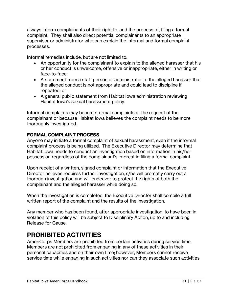always inform complainants of their right to, and the process of, filing a formal complaint. They shall also direct potential complainants to an appropriate supervisor or administrator who can explain the informal and formal complaint processes.

Informal remedies include, but are not limited to:

- An opportunity for the complainant to explain to the alleged harasser that his or her conduct is unwelcome, offensive or inappropriate, either in writing or face-to-face;
- A statement from a staff person or administrator to the alleged harasser that the alleged conduct is not appropriate and could lead to discipline if repeated; or
- A general public statement from Habitat Iowa administration reviewing Habitat Iowa's sexual harassment policy.

Informal complaints may become formal complaints at the request of the complainant or because Habitat Iowa believes the complaint needs to be more thoroughly investigated.

#### **FORMAL COMPLAINT PROCESS**

Anyone may initiate a formal complaint of sexual harassment, even if the informal complaint process is being utilized. The Executive Director may determine that Habitat Iowa needs to conduct an investigation based on information in his/her possession regardless of the complainant's interest in filing a formal complaint.

Upon receipt of a written, signed complaint or information that the Executive Director believes requires further investigation, s/he will promptly carry out a thorough investigation and will endeavor to protect the rights of both the complainant and the alleged harasser while doing so.

When the investigation is completed, the Executive Director shall compile a full written report of the complaint and the results of the investigation.

Any member who has been found, after appropriate investigation, to have been in violation of this policy will be subject to Disciplinary Action, up to and including Release for Cause.

## **PROHIBITED ACTIVITIES**

AmeriCorps Members are prohibited from certain activities during service time. Members are not prohibited from engaging in any of these activities in their personal capacities and on their own time; however, Members cannot receive service time while engaging in such activities nor can they associate such activities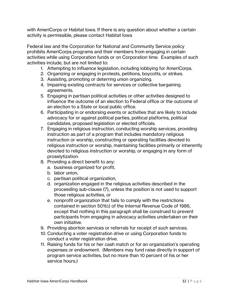with AmeriCorps or Habitat Iowa. If there is any question about whether a certain activity is permissible, please contact Habitat Iowa

Federal law and the Corporation for National and Community Service policy prohibits AmeriCorps programs and their members from engaging in certain activities while using Corporation funds or on Corporation time. Examples of such activities include, but are not limited to:

- 1. Attempting to influence legislation, including lobbying for AmeriCorps.
- 2. Organizing or engaging in protests, petitions, boycotts, or strikes.
- 3. Assisting, promoting or deterring union organizing.
- 4. Impairing existing contracts for services or collective bargaining agreements.
- 5. Engaging in partisan political activities or other activities designed to influence the outcome of an election to Federal office or the outcome of an election to a State or local public office.
- 6. Participating in or endorsing events or activities that are likely to include advocacy for or against political parties, political platforms, political candidates, proposed legislation or elected officials.
- 7. Engaging in religious instruction, conducting worship services, providing instruction as part of a program that includes mandatory religious instruction or worship, constructing or operating facilities devoted to religious instruction or worship, maintaining facilities primarily or inherently devoted to religious instruction or worship, or engaging in any form of proselytization.
- 8. Providing a direct benefit to any:
	- a. business organized for profit,
	- b. labor union,
	- c. partisan political organization,
	- d. organization engaged in the religious activities described in the proceeding sub-clause (7), unless the position is not used to support those religious activities, or
	- e. nonprofit organization that fails to comply with the restrictions contained in section 501(c) of the Internal Revenue Code of 1986, except that nothing in this paragraph shall be construed to prevent participants from engaging in advocacy activities undertaken on their own initiative.
- 9. Providing abortion services or referrals for receipt of such services.
- 10. Conducting a voter registration drive or using Corporation funds to conduct a voter registration drive.
- 11. Raising funds for his or her cash match or for an organization's operating expenses or endowment. (Members may fund raise directly in support of program service activities, but no more than 10 percent of his or her service hours.)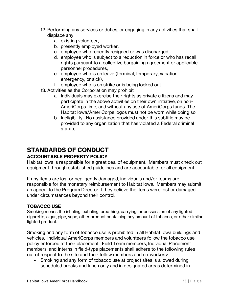- 12. Performing any services or duties, or engaging in any activities that shall displace any
	- a. existing volunteer,
	- b. presently employed worker,
	- c. employee who recently resigned or was discharged,
	- d. employee who is subject to a reduction in force or who has recall rights pursuant to a collective bargaining agreement or applicable personnel procedures,
	- e. employee who is on leave (terminal, temporary, vacation, emergency, or sick),
	- f. employee who is on strike or is being locked out.
- 13. Activities as the Corporation may prohibit
	- a. Individuals may exercise their rights as private citizens and may participate in the above activities on their own initiative, on non-AmeriCorps time, and without any use of AmeriCorps funds. The Habitat Iowa/AmeriCorps logos must not be worn while doing so.
	- b. Ineligibility--No assistance provided under this subtitle may be provided to any organization that has violated a Federal criminal statute.

## **STANDARDS OF CONDUCT**

#### **ACCOUNTABLE PROPERTY POLICY**

Habitat Iowa is responsible for a great deal of equipment. Members must check out equipment through established guidelines and are accountable for all equipment.

If any items are lost or negligently damaged, individuals and/or teams are responsible for the monetary reimbursement to Habitat Iowa. Members may submit an appeal to the Program Director if they believe the items were lost or damaged under circumstances beyond their control.

#### **TOBACCO USE**

Smoking means the inhaling, exhaling, breathing, carrying, or possession of any lighted cigarette, cigar, pipe, vape, other product containing any amount of tobacco, or other similar lighted product.

Smoking and any form of tobacco use is prohibited in all Habitat Iowa buildings and vehicles. Individual AmeriCorps members and volunteers follow the tobacco use policy enforced at their placement. Field Team members, Individual Placement members, and Interns in field-type placements shall adhere to the following rules out of respect to the site and their fellow members and co-workers:

• Smoking and any form of tobacco use at project sites is allowed during scheduled breaks and lunch only and in designated areas determined in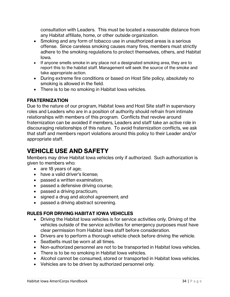consultation with Leaders. This must be located a reasonable distance from any Habitat affiliate, home, or other outside organization.

- Smoking and any form of tobacco use in unauthorized areas is a serious offense. Since careless smoking causes many fires, members must strictly adhere to the smoking regulations to protect themselves, others, and Habitat Iowa.
- If anyone smells smoke in any place not a designated smoking area, they are to report this to the habitat staff. Management will seek the source of the smoke and take appropriate action.
- During extreme fire conditions or based on Host Site policy, absolutely no smoking is allowed in the field.
- There is to be no smoking in Habitat Iowa vehicles.

#### **FRATERNIZATION**

Due to the nature of our program, Habitat Iowa and Host Site staff in supervisory roles and Leaders who are in a position of authority should refrain from intimate relationships with members of this program. Conflicts that revolve around fraternization can be avoided if members, Leaders and staff take an active role in discouraging relationships of this nature. To avoid fraternization conflicts, we ask that staff and members report violations around this policy to their Leader and/or appropriate staff.

## **VEHICLE USE AND SAFETY**

Members may drive Habitat Iowa vehicles only if authorized. Such authorization is given to members who:

- are 18 years of age;
- have a valid driver's license;
- passed a written examination;
- passed a defensive driving course;
- passed a driving practicum;
- signed a drug and alcohol agreement; and
- passed a driving abstract screening.

#### **RULES FOR DRIVING HABITAT IOWA VEHICLES**

- Driving the Habitat Iowa vehicles is for service activities only. Driving of the vehicles outside of the service activities for emergency purposes must have clear permission from Habitat Iowa staff before consideration.
- Drivers are to perform a thorough vehicle check before driving the vehicle.
- Seatbelts must be worn at all times.
- Non-authorized personnel are not to be transported in Habitat Iowa vehicles.
- There is to be no smoking in Habitat lowa vehicles.
- Alcohol cannot be consumed, stored or transported in Habitat Iowa vehicles.
- Vehicles are to be driven by authorized personnel only.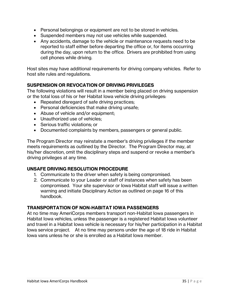- Personal belongings or equipment are not to be stored in vehicles.
- Suspended members may not use vehicles while suspended.
- Any accidents, damage to the vehicle or maintenance requests need to be reported to staff either before departing the office or, for items occurring during the day, upon return to the office. Drivers are prohibited from using cell phones while driving.

Host sites may have additional requirements for driving company vehicles. Refer to host site rules and regulations.

#### **SUSPENSION OR REVOCATION OF DRIVING PRIVILEGES**

The following violations will result in a member being placed on driving suspension or the total loss of his or her Habitat Iowa vehicle driving privileges:

- Repeated disregard of safe driving practices;
- Personal deficiencies that make driving unsafe;
- Abuse of vehicle and/or equipment;
- Unauthorized use of vehicles;
- Serious traffic violations; or
- Documented complaints by members, passengers or general public.

The Program Director may reinstate a member's driving privileges if the member meets requirements as outlined by the Director. The Program Director may, at his/her discretion, omit the disciplinary steps and suspend or revoke a member's driving privileges at any time.

#### **UNSAFE DRIVING RESOLUTION PROCEDURE**

- 1. Communicate to the driver when safety is being compromised.
- 2. Communicate to your Leader or staff of instances when safety has been compromised. Your site supervisor or Iowa Habitat staff will issue a written warning and initiate Disciplinary Action as outlined on page 16 of this handbook.

#### **TRANSPORTATION OF NON-HABITAT IOWA PASSENGERS**

At no time may AmeriCorps members transport non-Habitat Iowa passengers in Habitat Iowa vehicles, unless the passenger is a registered Habitat Iowa volunteer and travel in a Habitat Iowa vehicle is necessary for his/her participation in a Habitat Iowa service project. At no time may persons under the age of 18 ride in Habitat Iowa vans unless he or she is enrolled as a Habitat Iowa member.